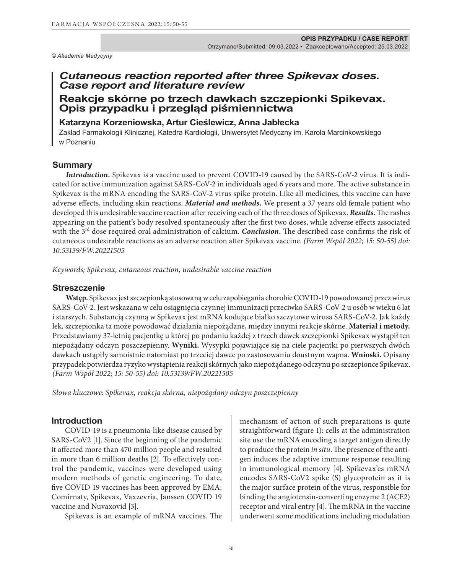*© Akademia Medycyny*

# *Cutaneous reaction reported after three Spikevax doses. Case report and literature review*

# **Reakcje skórne po trzech dawkach szczepionki Spikevax. Opis przypadku i przegląd piśmiennictwa**

# **Katarzyna Korzeniowska, Artur Cieślewicz, Anna Jabłecka**

Zakład Farmakologii Klinicznej, Katedra Kardiologii, Uniwersytet Medyczny im. Karola Marcinkowskiego w Poznaniu

#### **Summary**

*Introduction.* Spikevax is a vaccine used to prevent COVID-19 caused by the SARS-CoV-2 virus. It is indicated for active immunization against SARS-CoV-2 in individuals aged 6 years and more. The active substance in Spikevax is the mRNA encoding the SARS-CoV-2 virus spike protein. Like all medicines, this vaccine can have adverse effects, including skin reactions. *Material and methods.* We present a 37 years old female patient who developed this undesirable vaccine reaction after receiving each of the three doses of Spikevax. *Results.*The rashes appearing on the patient's body resolved spontaneously after the first two doses, while adverse effects associated with the 3<sup>rd</sup> dose required oral administration of calcium. *Conclusion*. The described case confirms the risk of cutaneous undesirable reactions as an adverse reaction after Spikevax vaccine. *(Farm Współ 2022; 15: 50-55) doi: 10.53139/FW.20221505*

*Keywords; Spikevax, cutaneous reaction, undesirable vaccine reaction*

#### **Streszczenie**

**Wstęp.** Spikevax jest szczepionką stosowaną w celu zapobiegania chorobie COVID-19 powodowanej przez wirus SARS-CoV-2. Jest wskazana w celu osiągnięcia czynnej immunizacji przeciwko SARS-CoV-2 u osób w wieku 6 lat i starszych. Substancją czynną w Spikevax jest mRNA kodujące białko szczytowe wirusa SARS-CoV-2. Jak każdy lek, szczepionka ta może powodować działania niepożądane, między innymi reakcje skórne. **Materiał i metody.** Przedstawiamy 37-letnią pacjentkę u której po podaniu każdej z trzech dawek szczepionki Spikevax wystąpił ten niepożądany odczyn poszczepienny. **Wyniki.** Wysypki pojawiające się na ciele pacjentki po pierwszych dwóch dawkach ustąpiły samoistnie natomiast po trzeciej dawce po zastosowaniu doustnym wapna. **Wnioski.** Opisany przypadek potwierdza ryzyko wystąpienia reakcji skórnych jako niepożądanego odczynu po szczepionce Spikevax. *(Farm Współ 2022; 15: 50-55) doi: 10.53139/FW.20221505*

*Słowa kluczowe: Spikevax, reakcja skórna, niepożądany odczyn poszczepienny* 

### **Introduction**

COVID-19 is a pneumonia-like disease caused by SARS-CoV2 [1]. Since the beginning of the pandemic it affected more than 470 million people and resulted in more than 6 million deaths [2]. To effectively control the pandemic, vaccines were developed using modern methods of genetic engineering. To date, five COVID 19 vaccines has been approved by EMA: Comirnaty, Spikevax, Vaxzevria, Janssen COVID 19 vaccine and Nuvaxovid [3].

Spikevax is an example of mRNA vaccines. The

mechanism of action of such preparations is quite straightforward (figure 1): cells at the administration site use the mRNA encoding a target antigen directly to produce the protein *in situ*. The presence of the antigen induces the adaptive immune response resulting in immunological memory [4]. Spikevax'es mRNA encodes SARS-CoV2 spike (S) glycoprotein as it is the major surface protein of the virus, responsible for binding the angiotensin-converting enzyme 2 (ACE2) receptor and viral entry [4]. The mRNA in the vaccine underwent some modifications including modulation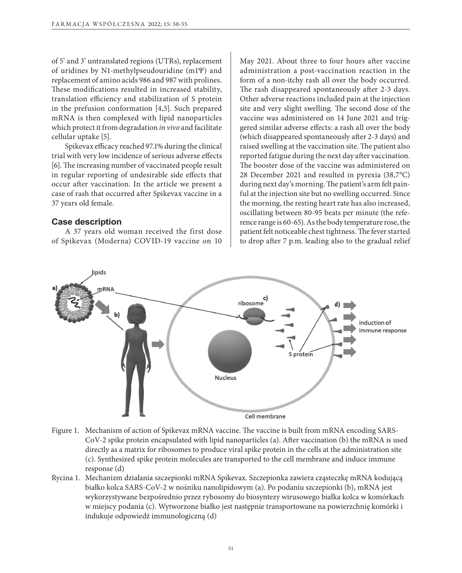of 5' and 3' untranslated regions (UTRs), replacement of uridines by N1-methylpseudouridine (m1Ψ) and replacement of amino acids 986 and 987 with prolines. These modifications resulted in increased stability, translation efficiency and stabilization of S protein in the prefusion conformation [4,5]. Such prepared mRNA is then complexed with lipid nanoparticles which protect it from degradation *in vivo* and facilitate cellular uptake [5].

Spikevax efficacy reached 97.1% during the clinical trial with very low incidence of serious adverse effects [6]. The increasing number of vaccinated people result in regular reporting of undesirable side effects that occur after vaccination. In the article we present a case of rash that occurred after Spikevax vaccine in a 37 years old female.

#### **Case description**

A 37 years old woman received the first dose of Spikevax (Moderna) COVID-19 vaccine on 10 May 2021. About three to four hours after vaccine administration a post-vaccination reaction in the form of a non-itchy rash all over the body occurred. The rash disappeared spontaneously after 2-3 days. Other adverse reactions included pain at the injection site and very slight swelling. The second dose of the vaccine was administered on 14 June 2021 and triggered similar adverse effects: a rash all over the body (which disappeared spontaneously after 2-3 days) and raised swelling at the vaccination site. The patient also reported fatigue during the next day after vaccination. The booster dose of the vaccine was administered on 28 December 2021 and resulted in pyrexia (38,7°C) during next day's morning. The patient's arm felt painful at the injection site but no swelling occurred. Since the morning, the resting heart rate has also increased, oscillating between 80-95 beats per minute (the reference range is 60-65). As the body temperature rose, the patient felt noticeable chest tightness. The fever started to drop after 7 p.m. leading also to the gradual relief



- Figure 1. Mechanism of action of Spikevax mRNA vaccine. The vaccine is built from mRNA encoding SARS-CoV-2 spike protein encapsulated with lipid nanoparticles (a). After vaccination (b) the mRNA is used directly as a matrix for ribosomes to produce viral spike protein in the cells at the administration site (c). Synthesized spike protein molecules are transported to the cell membrane and induce immune response (d)
- Rycina 1. Mechanizm działania szczepionki mRNA Spikevax. Szczepionka zawiera cząsteczkę mRNA kodującą białko kolca SARS-CoV-2 w nośniku nanolipidowym (a). Po podaniu szczepionki (b), mRNA jest wykorzystywane bezpośrednio przez rybosomy do biosyntezy wirusowego białka kolca w komórkach w miejscy podania (c). Wytworzone białko jest następnie transportowane na powierzchnię komórki i indukuje odpowiedź immunologiczną (d)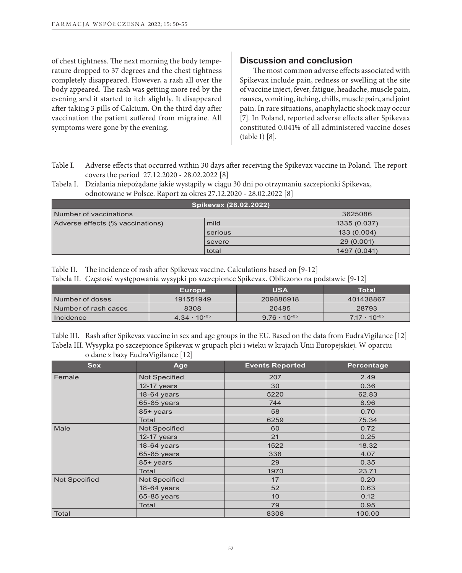of chest tightness. The next morning the body temperature dropped to 37 degrees and the chest tightness completely disappeared. However, a rash all over the body appeared. The rash was getting more red by the evening and it started to itch slightly. It disappeared after taking 3 pills of Calcium. On the third day after vaccination the patient suffered from migraine. All symptoms were gone by the evening.

## **Discussion and conclusion**

The most common adverse effects associated with Spikevax include pain, redness or swelling at the site of vaccine inject, fever, fatigue, headache, muscle pain, nausea, vomiting, itching, chills, muscle pain, and joint pain. In rare situations, anaphylactic shock may occur [7]. In Poland, reported adverse effects after Spikevax constituted 0.041% of all administered vaccine doses (table I) [8].

- Table I. Adverse effects that occurred within 30 days after receiving the Spikevax vaccine in Poland. The report covers the period 27.12.2020 - 28.02.2022 [8]
- Tabela I. Działania niepożądane jakie wystąpiły w ciągu 30 dni po otrzymaniu szczepionki Spikevax, odnotowane w Polsce. Raport za okres 27.12.2020 - 28.02.2022 [8]

| Spikevax (28.02.2022)             |         |              |  |  |
|-----------------------------------|---------|--------------|--|--|
| Number of vaccinations<br>3625086 |         |              |  |  |
| Adverse effects (% vaccinations)  | mild    | 1335 (0.037) |  |  |
|                                   | serious | 133 (0.004)  |  |  |
|                                   | severe  | 29 (0.001)   |  |  |
|                                   | total   | 1497 (0.041) |  |  |

Table II. The incidence of rash after Spikevax vaccine. Calculations based on [9-12]

| Tabela II. Częstość występowania wysypki po szczepionce Spikevax. Obliczono na podstawie [9-12] |  |  |  |  |
|-------------------------------------------------------------------------------------------------|--|--|--|--|
|                                                                                                 |  |  |  |  |

| $\cdot$              | <b>Europe</b>         | <b>USA</b>            | Total                 |
|----------------------|-----------------------|-----------------------|-----------------------|
| Number of doses      | 191551949             | 209886918             | 401438867             |
| Number of rash cases | 8308                  | 20485                 | 28793                 |
| Incidence            | $4.34 \cdot 10^{-05}$ | $9.76 \cdot 10^{-05}$ | $7.17 \cdot 10^{-05}$ |

Table III. Rash after Spikevax vaccine in sex and age groups in the EU. Based on the data from EudraVigilance [12] Tabela III. Wysypka po szczepionce Spikevax w grupach płci i wieku w krajach Unii Europejskiej. W oparciu o dane z bazy EudraVigilance [12]

| <b>Sex</b>           | Age                  | <b>Events Reported</b> | Percentage |
|----------------------|----------------------|------------------------|------------|
| Female               | <b>Not Specified</b> | 207                    | 2.49       |
|                      | $12-17$ years        | 30                     | 0.36       |
|                      | 18-64 years          | 5220                   | 62.83      |
|                      | 65-85 years          | 744                    | 8.96       |
|                      | 85+ years            | 58                     | 0.70       |
|                      | Total                | 6259                   | 75.34      |
| Male                 | <b>Not Specified</b> | 60                     | 0.72       |
|                      | $12-17$ years        | 21                     | 0.25       |
|                      | 18-64 years          | 1522                   | 18.32      |
|                      | 65-85 years          | 338                    | 4.07       |
|                      | 85+ years            | 29                     | 0.35       |
|                      | Total                | 1970                   | 23.71      |
| <b>Not Specified</b> | <b>Not Specified</b> | 17                     | 0.20       |
|                      | 18-64 years          | 52                     | 0.63       |
|                      | 65-85 years          | 10                     | 0.12       |
|                      | Total                | 79                     | 0.95       |
| Total                |                      | 8308                   | 100.00     |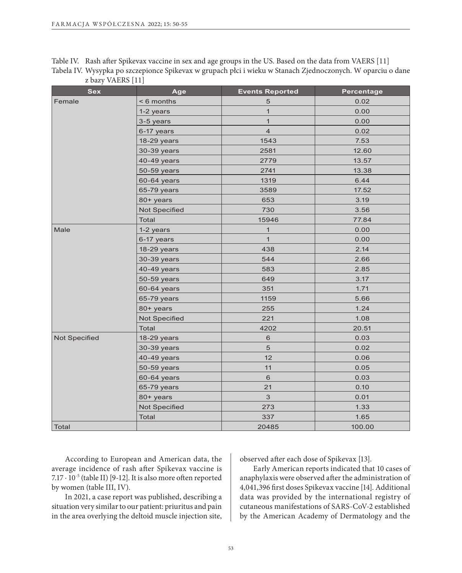| Table IV. Rash after Spikevax vaccine in sex and age groups in the US. Based on the data from VAERS [11]    |
|-------------------------------------------------------------------------------------------------------------|
| Tabela IV. Wysypka po szczepionce Spikevax w grupach płci i wieku w Stanach Zjednoczonych. W oparciu o dane |
| z bazy VAERS [11]                                                                                           |

| <b>Sex</b>    | Age                  | <b>Events Reported</b>  | <b>Percentage</b> |
|---------------|----------------------|-------------------------|-------------------|
| Female        | < 6 months           | 5                       | 0.02              |
|               | 1-2 years            | $\mathbf{1}$            | 0.00              |
|               | 3-5 years            | $\mathbf{1}$            | 0.00              |
|               | 6-17 years           | $\overline{\mathbf{4}}$ | 0.02              |
|               | 18-29 years          | 1543                    | 7.53              |
|               | 30-39 years          | 2581                    | 12.60             |
|               | 40-49 years          | 2779                    | 13.57             |
|               | 50-59 years          | 2741                    | 13.38             |
|               | 60-64 years          | 1319                    | 6.44              |
|               | 65-79 years          | 3589                    | 17.52             |
|               | 80+ years            | 653                     | 3.19              |
|               | <b>Not Specified</b> | 730                     | 3.56              |
|               | Total                | 15946                   | 77.84             |
| Male          | 1-2 years            | $\mathbf{1}$            | 0.00              |
|               | 6-17 years           | $\mathbf{1}$            | 0.00              |
|               | 18-29 years          | 438                     | 2.14              |
|               | 30-39 years          | 544                     | 2.66              |
|               | 40-49 years          | 583                     | 2.85              |
|               | 50-59 years          | 649                     | 3.17              |
|               | 60-64 years          | 351                     | 1.71              |
|               | 65-79 years          | 1159                    | 5.66              |
|               | 80+ years            | 255                     | 1.24              |
|               | Not Specified        | 221                     | 1.08              |
|               | <b>Total</b>         | 4202                    | 20.51             |
| Not Specified | 18-29 years          | 6                       | 0.03              |
|               | 30-39 years          | 5                       | 0.02              |
|               | 40-49 years          | 12                      | 0.06              |
|               | 50-59 years          | 11                      | 0.05              |
|               | 60-64 years          | $\,$ 6 $\,$             | 0.03              |
|               | 65-79 years          | 21                      | 0.10              |
|               | 80+ years            | $\mathfrak{S}$          | 0.01              |
|               | Not Specified        | 273                     | 1.33              |
|               | Total                | 337                     | 1.65              |
| Total         |                      | 20485                   | 100.00            |

According to European and American data, the average incidence of rash after Spikevax vaccine is 7.17 ⋅ 10<sup>-5</sup> (table II) [9-12]. It is also more often reported by women (table III, IV).

In 2021, a case report was published, describing a situation very similar to our patient: priuritus and pain in the area overlying the deltoid muscle injection site, observed after each dose of Spikevax [13].

Early American reports indicated that 10 cases of anaphylaxis were observed after the administration of 4,041,396 first doses Spikevax vaccine [14]. Additional data was provided by the international registry of cutaneous manifestations of SARS-CoV-2 established by the American Academy of Dermatology and the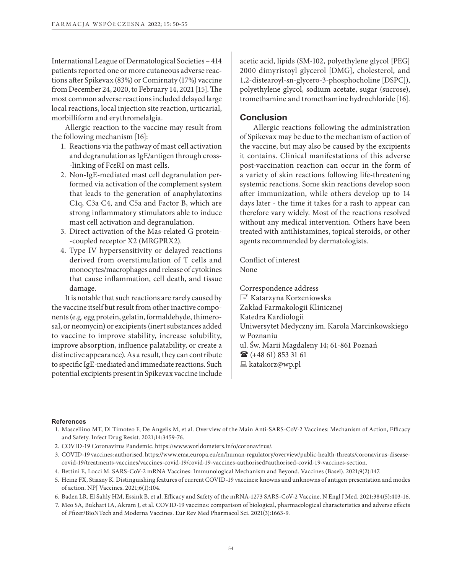International League of Dermatological Societies – 414 patients reported one or more cutaneous adverse reactions after Spikevax (83%) or Comirnaty (17%) vaccine from December 24, 2020, to February 14, 2021 [15]. The most common adverse reactions included delayed large local reactions, local injection site reaction, urticarial, morbilliform and erythromelalgia.

Allergic reaction to the vaccine may result from the following mechanism [16]:

- 1. Reactions via the pathway of mast cell activation and degranulation as IgE/antigen through cross- -linking of FcεRI on mast cells.
- 2. Non-IgE-mediated mast cell degranulation performed via activation of the complement system that leads to the generation of anaphylatoxins C1q, C3a C4, and C5a and Factor B, which are strong inflammatory stimulators able to induce mast cell activation and degranulation.
- 3. Direct activation of the Mas-related G protein- -coupled receptor X2 (MRGPRX2).
- 4. Type IV hypersensitivity or delayed reactions derived from overstimulation of T cells and monocytes/macrophages and release of cytokines that cause inflammation, cell death, and tissue damage.

It is notable that such reactions are rarely caused by the vaccine itself but result from other inactive components (e.g. egg protein, gelatin, formaldehyde, thimerosal, or neomycin) or excipients (inert substances added to vaccine to improve stability, increase solubility, improve absorption, influence palatability, or create a distinctive appearance). As a result, they can contribute to specific IgE-mediated and immediate reactions. Such potential excipients present in Spikevax vaccine include acetic acid, lipids (SM-102, polyethylene glycol [PEG] 2000 dimyristoyl glycerol [DMG], cholesterol, and 1,2-distearoyl-sn-glycero-3-phosphocholine [DSPC]), polyethylene glycol, sodium acetate, sugar (sucrose), tromethamine and tromethamine hydrochloride [16].

## **Conclusion**

Allergic reactions following the administration of Spikevax may be due to the mechanism of action of the vaccine, but may also be caused by the excipients it contains. Clinical manifestations of this adverse post-vaccination reaction can occur in the form of a variety of skin reactions following life-threatening systemic reactions. Some skin reactions develop soon after immunization, while others develop up to 14 days later - the time it takes for a rash to appear can therefore vary widely. Most of the reactions resolved without any medical intervention. Others have been treated with antihistamines, topical steroids, or other agents recommended by dermatologists.

Conflict of interest None

Correspondence address  $\equiv$  Katarzyna Korzeniowska Zakład Farmakologii Klinicznej Katedra Kardiologii Uniwersytet Medyczny im. Karola Marcinkowskiego w Poznaniu ul. Św. Marii Magdaleny 14; 61-861 Poznań  $\mathbf{\widehat{a}}$  (+48 61) 853 31 61  $\Box$  katakorz@wp.pl

#### **References**

- 1. Mascellino MT, Di Timoteo F, De Angelis M, et al. Overview of the Main Anti-SARS-CoV-2 Vaccines: Mechanism of Action, Efficacy and Safety. Infect Drug Resist. 2021;14:3459-76.
- 2. COVID-19 Coronavirus Pandemic. https://www.worldometers.info/coronavirus/.
- 3. COVID-19 vaccines: authorised. https://www.ema.europa.eu/en/human-regulatory/overview/public-health-threats/coronavirus-diseasecovid-19/treatments-vaccines/vaccines-covid-19/covid-19-vaccines-authorised#authorised-covid-19-vaccines-section.
- 4. Bettini E, Locci M. SARS-CoV-2 mRNA Vaccines: Immunological Mechanism and Beyond. Vaccines (Basel). 2021;9(2):147.
- 5. Heinz FX, Stiasny K. Distinguishing features of current COVID-19 vaccines: knowns and unknowns of antigen presentation and modes of action. NPJ Vaccines. 2021;6(1):104.
- 6. Baden LR, El Sahly HM, Essink B, et al. Efficacy and Safety of the mRNA-1273 SARS-CoV-2 Vaccine. N Engl J Med. 2021;384(5):403-16.
- 7. Meo SA, Bukhari IA, Akram J, et al. COVID-19 vaccines: comparison of biological, pharmacological characteristics and adverse effects of Pfizer/BioNTech and Moderna Vaccines. Eur Rev Med Pharmacol Sci. 2021(3):1663-9.